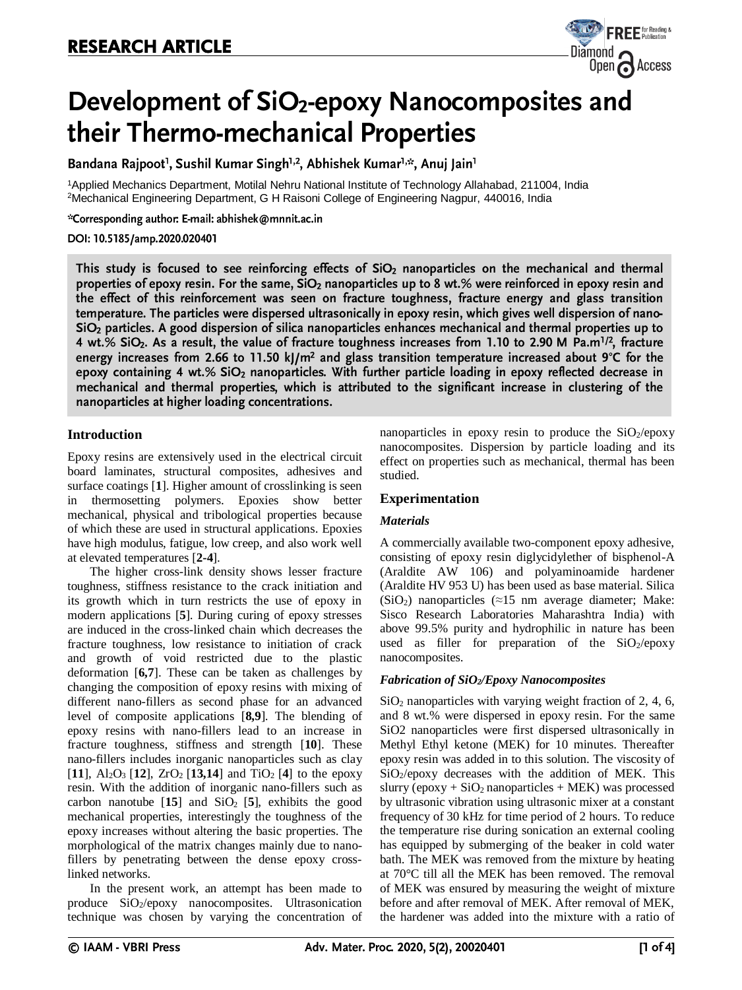

# Development of SiO<sub>2</sub>-epoxy Nanocomposites and their Thermo-mechanical Properties

Bandana Rajpoot<sup>1</sup>, Sushil Kumar Singh<sup>1,2</sup>, Abhishek Kumar<sup>1,\*</sup>, Anuj Jain<sup>1</sup>

<sup>1</sup>Applied Mechanics Department, Motilal Nehru National Institute of Technology Allahabad, 211004, India <sup>2</sup>Mechanical Engineering Department, G H Raisoni College of Engineering Nagpur, 440016, India

\*Corresponding author: E-mail: abhishek@mnnit.ac.in

### DOI: 10.5185/amp.2020.020401

This study is focused to see reinforcing effects of SiO<sub>2</sub> nanoparticles on the mechanical and thermal properties of epoxy resin. For the same,  $SiO<sub>2</sub>$  nanoparticles up to 8 wt.% were reinforced in epoxy resin and the effect of this reinforcement was seen on fracture toughness, fracture energy and glass transition temperature. The particles were dispersed ultrasonically in epoxy resin, which gives well dispersion of nano-SiO<sub>2</sub> particles. A good dispersion of silica nanoparticles enhances mechanical and thermal properties up to 4 wt.% SiO<sub>2</sub>. As a result, the value of fracture toughness increases from 1.10 to 2.90 M Pa.m<sup>1/2</sup>, fracture energy increases from 2.66 to 11.50 kJ/m<sup>2</sup> and glass transition temperature increased about 9°C for the epoxy containing 4 wt.% SiO<sub>2</sub> nanoparticles. With further particle loading in epoxy reflected decrease in mechanical and thermal properties, which is attributed to the significant increase in clustering of the nanoparticles at higher loading concentrations.

# **Introduction**

Epoxy resins are extensively used in the electrical circuit board laminates, structural composites, adhesives and surface coatings [**1**]. Higher amount of crosslinking is seen in thermosetting polymers. Epoxies show better mechanical, physical and tribological properties because of which these are used in structural applications. Epoxies have high modulus, fatigue, low creep, and also work well at elevated temperatures [**2-4**].

The higher cross-link density shows lesser fracture toughness, stiffness resistance to the crack initiation and its growth which in turn restricts the use of epoxy in modern applications [**5**]. During curing of epoxy stresses are induced in the cross-linked chain which decreases the fracture toughness, low resistance to initiation of crack and growth of void restricted due to the plastic deformation [**6,7**]. These can be taken as challenges by changing the composition of epoxy resins with mixing of different nano-fillers as second phase for an advanced level of composite applications [**8,9**]. The blending of epoxy resins with nano-fillers lead to an increase in fracture toughness, stiffness and strength [**10**]. These nano-fillers includes inorganic nanoparticles such as clay  $[11]$ , Al<sub>2</sub>O<sub>3</sub> [12], ZrO<sub>2</sub> [13,14] and TiO<sub>2</sub> [4] to the epoxy resin. With the addition of inorganic nano-fillers such as carbon nanotube  $[15]$  and  $SiO<sub>2</sub> [5]$ , exhibits the good mechanical properties, interestingly the toughness of the epoxy increases without altering the basic properties. The morphological of the matrix changes mainly due to nanofillers by penetrating between the dense epoxy crosslinked networks.

In the present work, an attempt has been made to produce SiO2/epoxy nanocomposites. Ultrasonication technique was chosen by varying the concentration of nanoparticles in epoxy resin to produce the  $SiO<sub>2</sub>/epoxy$ nanocomposites. Dispersion by particle loading and its effect on properties such as mechanical, thermal has been studied.

# **Experimentation**

# *Materials*

A commercially available two-component epoxy adhesive, consisting of epoxy resin diglycidylether of bisphenol-A (Araldite AW 106) and polyaminoamide hardener (Araldite HV 953 U) has been used as base material. Silica  $(SiO<sub>2</sub>)$  nanoparticles (≈15 nm average diameter; Make: Sisco Research Laboratories Maharashtra India) with above 99.5% purity and hydrophilic in nature has been used as filler for preparation of the  $SiO_2$ /epoxy nanocomposites.

# *Fabrication of SiO2/Epoxy Nanocomposites*

 $SiO<sub>2</sub>$  nanoparticles with varying weight fraction of 2, 4, 6, and 8 wt.% were dispersed in epoxy resin. For the same SiO2 nanoparticles were first dispersed ultrasonically in Methyl Ethyl ketone (MEK) for 10 minutes. Thereafter epoxy resin was added in to this solution. The viscosity of  $SiO<sub>2</sub>/epoxy$  decreases with the addition of MEK. This slurry (epoxy  $+$  SiO<sub>2</sub> nanoparticles  $+$  MEK) was processed by ultrasonic vibration using ultrasonic mixer at a constant frequency of 30 kHz for time period of 2 hours. To reduce the temperature rise during sonication an external cooling has equipped by submerging of the beaker in cold water bath. The MEK was removed from the mixture by heating at 70°C till all the MEK has been removed. The removal of MEK was ensured by measuring the weight of mixture before and after removal of MEK. After removal of MEK, the hardener was added into the mixture with a ratio of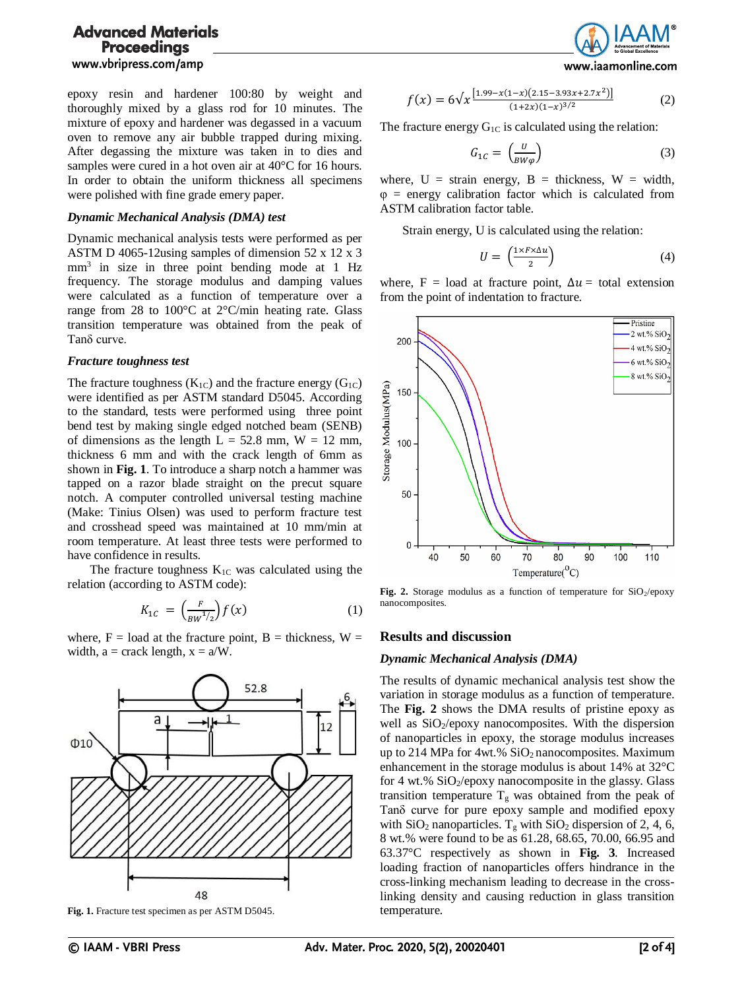# Advanced Materials Proceedings

#### www.vbripress.com/amp

epoxy resin and hardener 100:80 by weight and thoroughly mixed by a glass rod for 10 minutes. The mixture of epoxy and hardener was degassed in a vacuum oven to remove any air bubble trapped during mixing. After degassing the mixture was taken in to dies and samples were cured in a hot oven air at 40°C for 16 hours. In order to obtain the uniform thickness all specimens were polished with fine grade emery paper.

#### *Dynamic Mechanical Analysis (DMA) test*

Dynamic mechanical analysis tests were performed as per ASTM D 4065-12using samples of dimension 52 x 12 x 3 mm<sup>3</sup> in size in three point bending mode at 1 Hz frequency. The storage modulus and damping values were calculated as a function of temperature over a range from 28 to 100°C at 2°C/min heating rate. Glass transition temperature was obtained from the peak of Tanδ curve.

#### *Fracture toughness test*

The fracture toughness  $(K_{1C})$  and the fracture energy  $(G_{1C})$ were identified as per ASTM standard D5045. According to the standard, tests were performed using three point bend test by making single edged notched beam (SENB) of dimensions as the length  $L = 52.8$  mm,  $W = 12$  mm, thickness 6 mm and with the crack length of 6mm as shown in **Fig. 1**. To introduce a sharp notch a hammer was tapped on a razor blade straight on the precut square notch. A computer controlled universal testing machine (Make: Tinius Olsen) was used to perform fracture test and crosshead speed was maintained at 10 mm/min at room temperature. At least three tests were performed to have confidence in results.

The fracture toughness  $K_{1C}$  was calculated using the relation (according to ASTM code):

$$
K_{1C} = \left(\frac{F}{BW^{1/2}}\right) f(x) \tag{1}
$$

where,  $F =$  load at the fracture point,  $B =$  thickness,  $W =$ width,  $a =$  crack length,  $x = a/W$ .



**Fig. 1.** Fracture test specimen as per ASTM D5045.



www.iaamonline.com

$$
f(x) = 6\sqrt{x} \frac{[1.99 - x(1-x)(2.15 - 3.93x + 2.7x^2)]}{(1+2x)(1-x)^{3/2}}
$$
 (2)

The fracture energy  $G_{1C}$  is calculated using the relation:

$$
G_{1C} = \left(\frac{U}{BW\varphi}\right) \tag{3}
$$

where,  $U = \text{strain energy}, B = \text{thickness}, W = \text{width},$  $\varphi$  = energy calibration factor which is calculated from ASTM calibration factor table.

Strain energy, U is calculated using the relation:

$$
U = \left(\frac{1 \times F \times \Delta u}{2}\right) \tag{4}
$$

where, F = load at fracture point,  $\Delta u =$  total extension from the point of indentation to fracture.



Fig. 2. Storage modulus as a function of temperature for SiO<sub>2</sub>/epoxy nanocomposites.

# **Results and discussion**

#### *Dynamic Mechanical Analysis (DMA)*

The results of dynamic mechanical analysis test show the variation in storage modulus as a function of temperature. The **Fig. 2** shows the DMA results of pristine epoxy as well as  $SiO<sub>2</sub>/epoxy nanocomposites. With the dispersion$ of nanoparticles in epoxy, the storage modulus increases up to 214 MPa for  $4wt\%$  SiO<sub>2</sub> nanocomposites. Maximum enhancement in the storage modulus is about 14% at 32°C for 4 wt.%  $SiO<sub>2</sub>/epoxy nanocomposite in the glassy. Glass$ transition temperature  $T_g$  was obtained from the peak of Tanδ curve for pure epoxy sample and modified epoxy with  $SiO<sub>2</sub>$  nanoparticles. T<sub>g</sub> with  $SiO<sub>2</sub>$  dispersion of 2, 4, 6, 8 wt.% were found to be as 61.28, 68.65, 70.00, 66.95 and 63.37°C respectively as shown in **Fig. 3**. Increased loading fraction of nanoparticles offers hindrance in the cross-linking mechanism leading to decrease in the crosslinking density and causing reduction in glass transition temperature.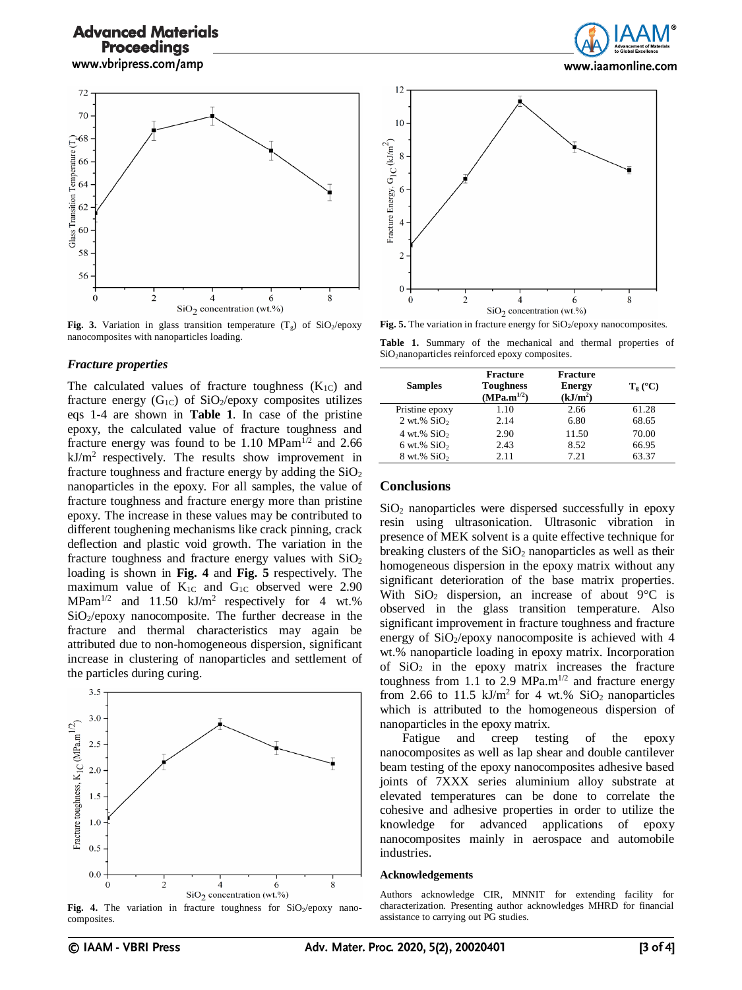# Advanced Materials Proceedings

www.vbripress.com/amp



**Fig. 3.** Variation in glass transition temperature  $(T_g)$  of SiO<sub>2</sub>/epoxy nanocomposites with nanoparticles loading.

#### *Fracture properties*

The calculated values of fracture toughness  $(K_{1C})$  and fracture energy  $(G_{1C})$  of  $SiO_2$ /epoxy composites utilizes eqs 1-4 are shown in **Table 1**. In case of the pristine epoxy, the calculated value of fracture toughness and fracture energy was found to be 1.10 MPam<sup>1/2</sup> and 2.66 kJ/m<sup>2</sup> respectively. The results show improvement in fracture toughness and fracture energy by adding the  $SiO<sub>2</sub>$ nanoparticles in the epoxy. For all samples, the value of fracture toughness and fracture energy more than pristine epoxy. The increase in these values may be contributed to different toughening mechanisms like crack pinning, crack deflection and plastic void growth. The variation in the fracture toughness and fracture energy values with  $SiO<sub>2</sub>$ loading is shown in **Fig. 4** and **Fig. 5** respectively. The maximum value of  $K_{1C}$  and  $G_{1C}$  observed were 2.90  $MPam^{1/2}$  and 11.50 kJ/m<sup>2</sup> respectively for 4 wt.%  $SiO<sub>2</sub>/epoxy nanocomposite.$  The further decrease in the fracture and thermal characteristics may again be attributed due to non-homogeneous dispersion, significant increase in clustering of nanoparticles and settlement of the particles during curing.



Fig. 4. The variation in fracture toughness for  $SiO<sub>2</sub>/epoxy$  nanocomposites.



Fig. 5. The variation in fracture energy for SiO<sub>2</sub>/epoxy nanocomposites.

**Table 1.** Summary of the mechanical and thermal properties of SiO2nanoparticles reinforced epoxy composites.

| <b>Samples</b>                      | <b>Fracture</b><br><b>Toughness</b><br>$(MPa.m^{1/2})$ | <b>Fracture</b><br><b>Energy</b><br>(kJ/m <sup>2</sup> ) | $T_g$ (°C) |
|-------------------------------------|--------------------------------------------------------|----------------------------------------------------------|------------|
| Pristine epoxy                      | 1.10                                                   | 2.66                                                     | 61.28      |
| $2 \text{ wt.} \%$ SiO <sub>2</sub> | 2.14                                                   | 6.80                                                     | 68.65      |
| $4 \text{ wt.}\%$ SiO <sub>2</sub>  | 2.90                                                   | 11.50                                                    | 70.00      |
| $6$ wt.% SiO <sub>2</sub>           | 2.43                                                   | 8.52                                                     | 66.95      |
| $8$ wt.% SiO <sub>2</sub>           | 2.11                                                   | 7.21                                                     | 63.37      |

#### **Conclusions**

 $SiO<sub>2</sub>$  nanoparticles were dispersed successfully in epoxy resin using ultrasonication. Ultrasonic vibration in presence of MEK solvent is a quite effective technique for breaking clusters of the  $SiO<sub>2</sub>$  nanoparticles as well as their homogeneous dispersion in the epoxy matrix without any significant deterioration of the base matrix properties. With  $SiO<sub>2</sub>$  dispersion, an increase of about  $9^{\circ}C$  is observed in the glass transition temperature. Also significant improvement in fracture toughness and fracture energy of SiO<sub>2</sub>/epoxy nanocomposite is achieved with 4 wt.% nanoparticle loading in epoxy matrix. Incorporation of  $SiO<sub>2</sub>$  in the epoxy matrix increases the fracture toughness from 1.1 to 2.9 MPa.m $1/2$  and fracture energy from 2.66 to 11.5  $kJ/m^2$  for 4 wt.% SiO<sub>2</sub> nanoparticles which is attributed to the homogeneous dispersion of nanoparticles in the epoxy matrix.

Fatigue and creep testing of the epoxy nanocomposites as well as lap shear and double cantilever beam testing of the epoxy nanocomposites adhesive based joints of 7XXX series aluminium alloy substrate at elevated temperatures can be done to correlate the cohesive and adhesive properties in order to utilize the knowledge for advanced applications of epoxy nanocomposites mainly in aerospace and automobile industries.

#### **Acknowledgements**

Authors acknowledge CIR, MNNIT for extending facility for characterization. Presenting author acknowledges MHRD for financial assistance to carrying out PG studies.